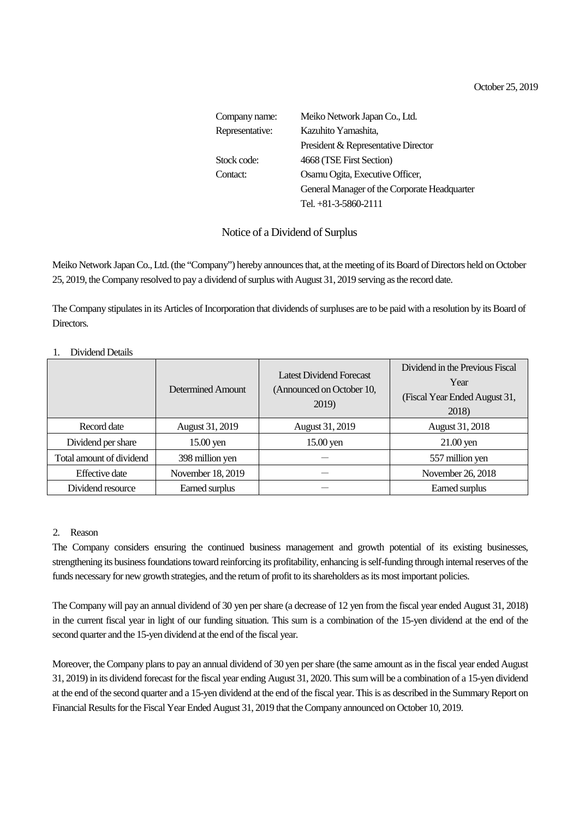October 25, 2019

| Company name:   | Meiko Network Japan Co., Ltd.                |  |
|-----------------|----------------------------------------------|--|
| Representative: | Kazuhito Yamashita,                          |  |
|                 | President & Representative Director          |  |
| Stock code:     | 4668 (TSE First Section)                     |  |
| Contact:        | Osamu Ogita, Executive Officer,              |  |
|                 | General Manager of the Corporate Headquarter |  |
|                 | Tel. $+81-3-5860-2111$                       |  |

# Notice of a Dividend of Surplus

Meiko Network Japan Co., Ltd. (the "Company") hereby announces that, at the meeting of its Board of Directors held on October 25, 2019, the Company resolved to pay a dividend of surplus with August 31, 2019 serving as the record date.

The Company stipulates in its Articles of Incorporation that dividends of surpluses are to be paid with a resolution by its Board of Directors.

#### Determined Amount Latest Dividend Forecast (Announced on October 10, 2019) Dividend in the Previous Fiscal Year (Fiscal Year Ended August 31, 2018) Record date | August 31, 2019 | August 31, 2019 | August 31, 2018 Dividend per share 15.00 yen 15.00 yen 15.00 yen 21.00 yen Total amount of dividend 398 million yen - 557 million yen Effective date November 18, 2019 - November 26, 2018 Dividend resource Earned surplus  $-$  Earned surplus  $-$  Earned surplus

### 1. Dividend Details

### 2. Reason

The Company considers ensuring the continued business management and growth potential of its existing businesses, strengthening its business foundations toward reinforcing its profitability, enhancing isself-funding through internal reserves of the funds necessary for new growth strategies, and the return of profit to its shareholders as its most important policies.

The Company will pay an annual dividend of 30 yen per share (a decrease of 12 yen from the fiscal year ended August 31, 2018) in the current fiscal year in light of our funding situation. This sum is a combination of the 15-yen dividend at the end of the second quarter and the 15-yen dividend at the end of the fiscal year.

Moreover, the Company plans to pay an annual dividend of 30 yen per share (the same amount as in the fiscal year ended August 31, 2019) in its dividend forecast for the fiscal year ending August 31, 2020. This sum will be a combination of a 15-yen dividend at the end of the second quarter and a 15-yen dividend at the end of the fiscal year. This is as described in the Summary Report on Financial Results for the Fiscal Year Ended August 31, 2019 that the Company announced on October 10, 2019.